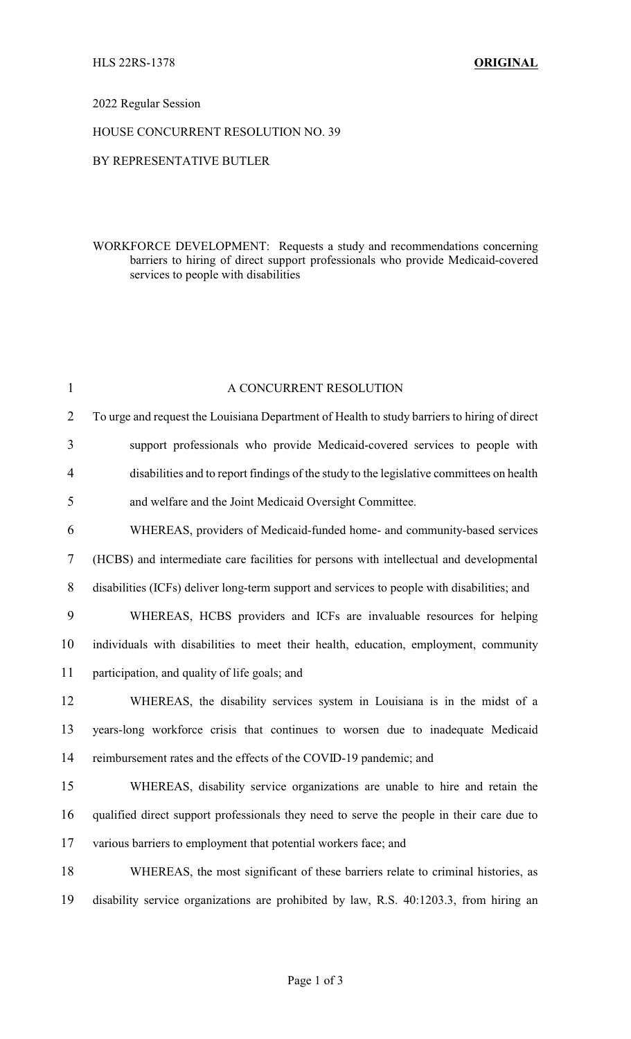### 2022 Regular Session

### HOUSE CONCURRENT RESOLUTION NO. 39

### BY REPRESENTATIVE BUTLER

## WORKFORCE DEVELOPMENT: Requests a study and recommendations concerning barriers to hiring of direct support professionals who provide Medicaid-covered services to people with disabilities

| $\mathbf{1}$   | A CONCURRENT RESOLUTION                                                                      |
|----------------|----------------------------------------------------------------------------------------------|
| $\overline{2}$ | To urge and request the Louisiana Department of Health to study barriers to hiring of direct |
| $\overline{3}$ | support professionals who provide Medicaid-covered services to people with                   |
| $\overline{4}$ | disabilities and to report findings of the study to the legislative committees on health     |
| 5              | and welfare and the Joint Medicaid Oversight Committee.                                      |
| 6              | WHEREAS, providers of Medicaid-funded home- and community-based services                     |
| $\tau$         | (HCBS) and intermediate care facilities for persons with intellectual and developmental      |
| 8              | disabilities (ICFs) deliver long-term support and services to people with disabilities; and  |
| 9              | WHEREAS, HCBS providers and ICFs are invaluable resources for helping                        |
| 10             | individuals with disabilities to meet their health, education, employment, community         |
| 11             | participation, and quality of life goals; and                                                |
| 12             | WHEREAS, the disability services system in Louisiana is in the midst of a                    |
| 13             | years-long workforce crisis that continues to worsen due to inadequate Medicaid              |
| 14             | reimbursement rates and the effects of the COVID-19 pandemic; and                            |
| 15             | WHEREAS, disability service organizations are unable to hire and retain the                  |
| 16             | qualified direct support professionals they need to serve the people in their care due to    |
| 17             | various barriers to employment that potential workers face; and                              |
| 18             | WHEREAS, the most significant of these barriers relate to criminal histories, as             |
| 19             | disability service organizations are prohibited by law, R.S. 40:1203.3, from hiring an       |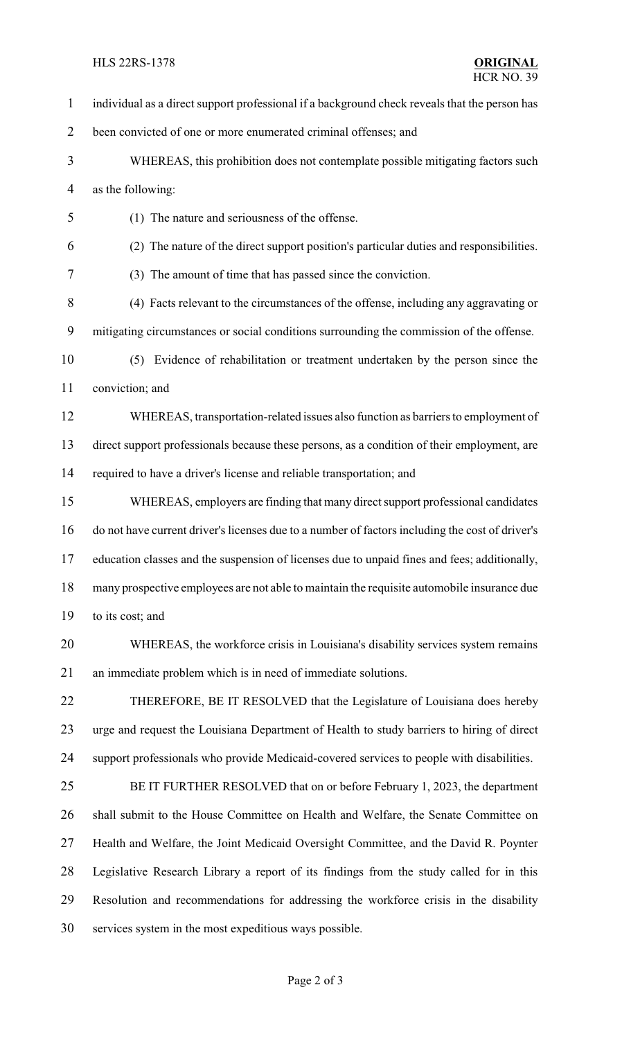#### HLS 22RS-1378 **ORIGINAL**

 individual as a direct support professional if a background check reveals that the person has been convicted of one or more enumerated criminal offenses; and WHEREAS, this prohibition does not contemplate possible mitigating factors such as the following: (1) The nature and seriousness of the offense. (2) The nature of the direct support position's particular duties and responsibilities. (3) The amount of time that has passed since the conviction. (4) Facts relevant to the circumstances of the offense, including any aggravating or mitigating circumstances or social conditions surrounding the commission of the offense. (5) Evidence of rehabilitation or treatment undertaken by the person since the conviction; and WHEREAS, transportation-related issues also function as barriers to employment of direct support professionals because these persons, as a condition of their employment, are required to have a driver's license and reliable transportation; and WHEREAS, employers are finding that many direct support professional candidates do not have current driver's licenses due to a number of factors including the cost of driver's education classes and the suspension of licenses due to unpaid fines and fees; additionally, many prospective employees are not able to maintain the requisite automobile insurance due to its cost; and WHEREAS, the workforce crisis in Louisiana's disability services system remains an immediate problem which is in need of immediate solutions. THEREFORE, BE IT RESOLVED that the Legislature of Louisiana does hereby urge and request the Louisiana Department of Health to study barriers to hiring of direct support professionals who provide Medicaid-covered services to people with disabilities. BE IT FURTHER RESOLVED that on or before February 1, 2023, the department shall submit to the House Committee on Health and Welfare, the Senate Committee on Health and Welfare, the Joint Medicaid Oversight Committee, and the David R. Poynter Legislative Research Library a report of its findings from the study called for in this Resolution and recommendations for addressing the workforce crisis in the disability services system in the most expeditious ways possible.